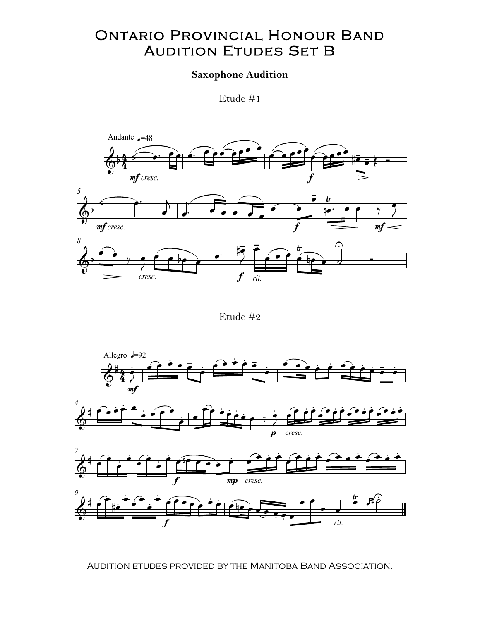## Ontario Provincial Honour Band Ontario Provincial Honour Band AUDITION ETUDES SET B

## Saxophone Audition

Etude  $\#1$ 



Etude #2





Audition etudes provided by the Manitoba Band Association. Audition etudes provided by the Manitoba Band Association.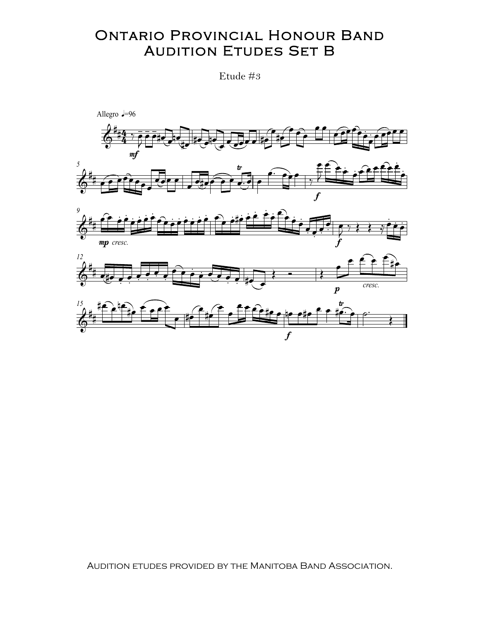## ONTARIO PROVINCIAL HONOUR BAND ONTARIO PROVINCIAL HONOUR BANI<br>AUDITION ETUDES SET B  $\overline{ }$

Etude #3



Audition etudes provided by the Manitoba Band Association.